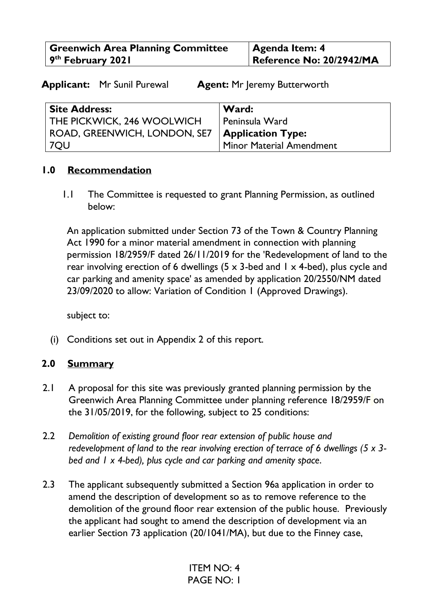| <b>Greenwich Area Planning Committee</b> | <b>Agenda Item: 4</b>    |
|------------------------------------------|--------------------------|
| 9 <sup>th</sup> February 2021            | Reference No: 20/2942/MA |

**Applicant:** Mr Sunil Purewal **Agent:** Mr Jeremy Butterworth

| <b>Site Address:</b>         | Ward:                             |
|------------------------------|-----------------------------------|
| THE PICKWICK, 246 WOOLWICH   | Peninsula Ward                    |
| ROAD, GREENWICH, LONDON, SE7 | $\mathcal{L}$   Application Type: |
| 7QU                          | <b>Minor Material Amendment</b>   |

### **1.0 Recommendation**

1.1 The Committee is requested to grant Planning Permission, as outlined below:

An application submitted under Section 73 of the Town & Country Planning Act 1990 for a minor material amendment in connection with planning permission 18/2959/F dated 26/11/2019 for the 'Redevelopment of land to the rear involving erection of 6 dwellings  $(5 \times 3$ -bed and  $1 \times 4$ -bed), plus cycle and car parking and amenity space' as amended by application 20/2550/NM dated 23/09/2020 to allow: Variation of Condition 1 (Approved Drawings).

subject to:

(i) Conditions set out in Appendix 2 of this report.

### **2.0 Summary**

- 2.1 A proposal for this site was previously granted planning permission by the Greenwich Area Planning Committee under planning reference 18/2959/F on the 31/05/2019, for the following, subject to 25 conditions:
- 2.2 *Demolition of existing ground floor rear extension of public house and redevelopment of land to the rear involving erection of terrace of 6 dwellings (5 x 3 bed and 1 x 4-bed), plus cycle and car parking and amenity space*.
- 2.3 The applicant subsequently submitted a Section 96a application in order to amend the description of development so as to remove reference to the demolition of the ground floor rear extension of the public house. Previously the applicant had sought to amend the description of development via an earlier Section 73 application (20/1041/MA), but due to the Finney case,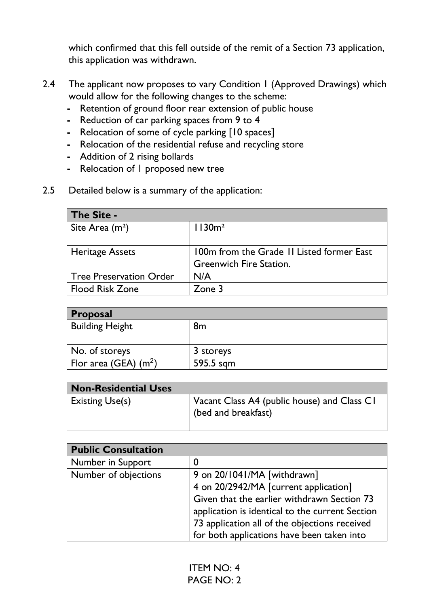which confirmed that this fell outside of the remit of a Section 73 application, this application was withdrawn.

- 2.4 The applicant now proposes to vary Condition 1 (Approved Drawings) which would allow for the following changes to the scheme:
	- **-** Retention of ground floor rear extension of public house
	- **-** Reduction of car parking spaces from 9 to 4
	- **-** Relocation of some of cycle parking [10 spaces]
	- **-** Relocation of the residential refuse and recycling store
	- **-** Addition of 2 rising bollards
	- **-** Relocation of 1 proposed new tree
- 2.5 Detailed below is a summary of the application:

| <b>The Site -</b>              |                                           |
|--------------------------------|-------------------------------------------|
| Site Area $(m2)$               | 1130m <sup>2</sup>                        |
|                                |                                           |
| <b>Heritage Assets</b>         | 100m from the Grade II Listed former East |
|                                | <b>Greenwich Fire Station.</b>            |
| <b>Tree Preservation Order</b> | N/A                                       |
| <b>Flood Risk Zone</b>         | Zone 3                                    |

| <b>Proposal</b>         |           |  |
|-------------------------|-----------|--|
| <b>Building Height</b>  | 8m        |  |
|                         |           |  |
| No. of storeys          | 3 storeys |  |
| Flor area (GEA) $(m^2)$ | 595.5 sqm |  |

| <b>Non-Residential Uses</b> |                                                                    |
|-----------------------------|--------------------------------------------------------------------|
| <b>Existing Use(s)</b>      | Vacant Class A4 (public house) and Class CI<br>(bed and breakfast) |

| <b>Public Consultation</b> |                                                 |
|----------------------------|-------------------------------------------------|
| Number in Support          |                                                 |
| Number of objections       | 9 on 20/1041/MA [withdrawn]                     |
|                            | 4 on 20/2942/MA [current application]           |
|                            | Given that the earlier withdrawn Section 73     |
|                            | application is identical to the current Section |
|                            | 73 application all of the objections received   |
|                            | for both applications have been taken into      |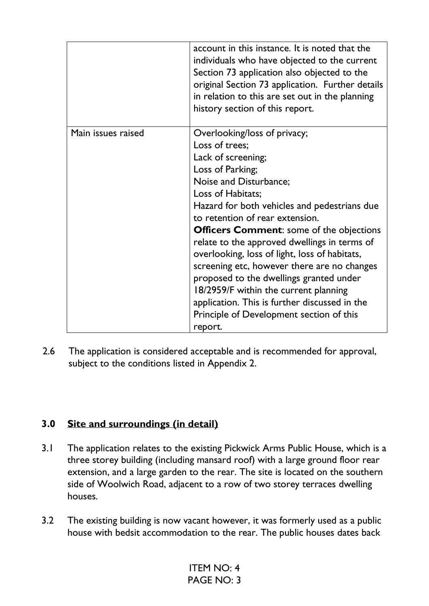|                    | account in this instance. It is noted that the<br>individuals who have objected to the current<br>Section 73 application also objected to the<br>original Section 73 application. Further details<br>in relation to this are set out in the planning<br>history section of this report.                                                                                                                                                                                                                                                                                                                                   |
|--------------------|---------------------------------------------------------------------------------------------------------------------------------------------------------------------------------------------------------------------------------------------------------------------------------------------------------------------------------------------------------------------------------------------------------------------------------------------------------------------------------------------------------------------------------------------------------------------------------------------------------------------------|
| Main issues raised | Overlooking/loss of privacy;<br>Loss of trees;<br>Lack of screening;<br>Loss of Parking;<br>Noise and Disturbance;<br>Loss of Habitats;<br>Hazard for both vehicles and pedestrians due<br>to retention of rear extension.<br><b>Officers Comment:</b> some of the objections<br>relate to the approved dwellings in terms of<br>overlooking, loss of light, loss of habitats,<br>screening etc, however there are no changes<br>proposed to the dwellings granted under<br>18/2959/F within the current planning<br>application. This is further discussed in the<br>Principle of Development section of this<br>report. |

2.6 The application is considered acceptable and is recommended for approval, subject to the conditions listed in Appendix 2.

## **3.0 Site and surroundings (in detail)**

- 3.1 The application relates to the existing Pickwick Arms Public House, which is a three storey building (including mansard roof) with a large ground floor rear extension, and a large garden to the rear. The site is located on the southern side of Woolwich Road, adjacent to a row of two storey terraces dwelling houses.
- 3.2 The existing building is now vacant however, it was formerly used as a public house with bedsit accommodation to the rear. The public houses dates back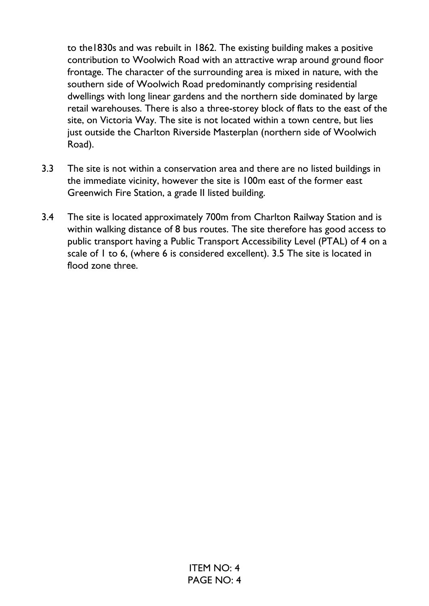to the1830s and was rebuilt in 1862. The existing building makes a positive contribution to Woolwich Road with an attractive wrap around ground floor frontage. The character of the surrounding area is mixed in nature, with the southern side of Woolwich Road predominantly comprising residential dwellings with long linear gardens and the northern side dominated by large retail warehouses. There is also a three-storey block of flats to the east of the site, on Victoria Way. The site is not located within a town centre, but lies just outside the Charlton Riverside Masterplan (northern side of Woolwich Road).

- 3.3 The site is not within a conservation area and there are no listed buildings in the immediate vicinity, however the site is 100m east of the former east Greenwich Fire Station, a grade II listed building.
- 3.4 The site is located approximately 700m from Charlton Railway Station and is within walking distance of 8 bus routes. The site therefore has good access to public transport having a Public Transport Accessibility Level (PTAL) of 4 on a scale of 1 to 6, (where 6 is considered excellent). 3.5 The site is located in flood zone three.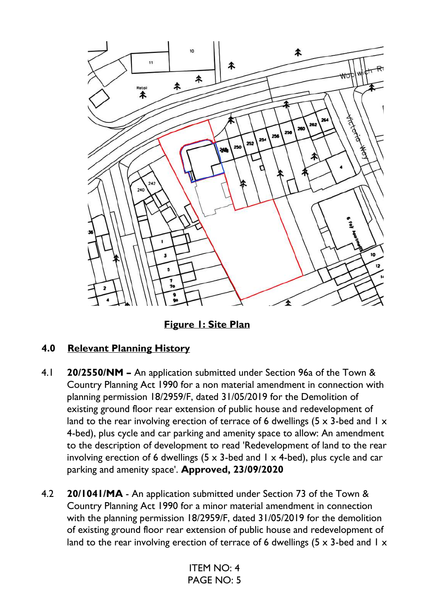

**Figure 1: Site Plan** 

# **4.0 Relevant Planning History**

- 4.1 **20/2550/NM –** An application submitted under Section 96a of the Town & Country Planning Act 1990 for a non material amendment in connection with planning permission 18/2959/F, dated 31/05/2019 for the Demolition of existing ground floor rear extension of public house and redevelopment of land to the rear involving erection of terrace of 6 dwellings (5  $\times$  3-bed and 1  $\times$ 4-bed), plus cycle and car parking and amenity space to allow: An amendment to the description of development to read 'Redevelopment of land to the rear involving erection of 6 dwellings (5  $\times$  3-bed and 1  $\times$  4-bed), plus cycle and car parking and amenity space'. **Approved, 23/09/2020**
- 4.2 **20/1041/MA** An application submitted under Section 73 of the Town & Country Planning Act 1990 for a minor material amendment in connection with the planning permission 18/2959/F, dated 31/05/2019 for the demolition of existing ground floor rear extension of public house and redevelopment of land to the rear involving erection of terrace of 6 dwellings (5  $\times$  3-bed and 1  $\times$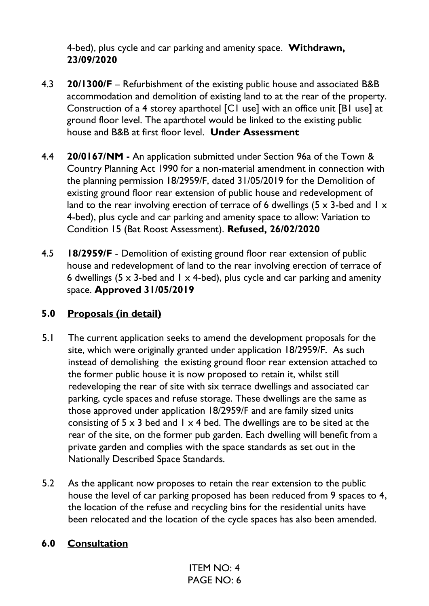4-bed), plus cycle and car parking and amenity space. **Withdrawn, 23/09/2020**

- 4.3 **20/1300/F**  Refurbishment of the existing public house and associated B&B accommodation and demolition of existing land to at the rear of the property. Construction of a 4 storey aparthotel [C1 use] with an office unit [B1 use] at ground floor level. The aparthotel would be linked to the existing public house and B&B at first floor level. **Under Assessment**
- 4.4 **20/0167/NM** An application submitted under Section 96a of the Town & Country Planning Act 1990 for a non-material amendment in connection with the planning permission 18/2959/F, dated 31/05/2019 for the Demolition of existing ground floor rear extension of public house and redevelopment of land to the rear involving erection of terrace of 6 dwellings (5  $\times$  3-bed and 1  $\times$ 4-bed), plus cycle and car parking and amenity space to allow: Variation to Condition 15 (Bat Roost Assessment). **Refused, 26/02/2020**
- 4.5 **18/2959/F** Demolition of existing ground floor rear extension of public house and redevelopment of land to the rear involving erection of terrace of 6 dwellings (5  $\times$  3-bed and 1  $\times$  4-bed), plus cycle and car parking and amenity space. **Approved 31/05/2019**

## **5.0 Proposals (in detail)**

- 5.1 The current application seeks to amend the development proposals for the site, which were originally granted under application 18/2959/F. As such instead of demolishing the existing ground floor rear extension attached to the former public house it is now proposed to retain it, whilst still redeveloping the rear of site with six terrace dwellings and associated car parking, cycle spaces and refuse storage. These dwellings are the same as those approved under application 18/2959/F and are family sized units consisting of  $5 \times 3$  bed and  $1 \times 4$  bed. The dwellings are to be sited at the rear of the site, on the former pub garden. Each dwelling will benefit from a private garden and complies with the space standards as set out in the Nationally Described Space Standards.
- 5.2 As the applicant now proposes to retain the rear extension to the public house the level of car parking proposed has been reduced from 9 spaces to 4, the location of the refuse and recycling bins for the residential units have been relocated and the location of the cycle spaces has also been amended.

### **6.0 Consultation**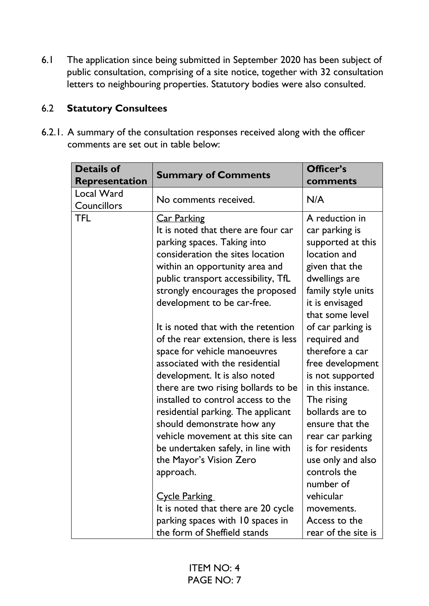6.1 The application since being submitted in September 2020 has been subject of public consultation, comprising of a site notice, together with 32 consultation letters to neighbouring properties. Statutory bodies were also consulted.

## 6.2 **Statutory Consultees**

6.2.1. A summary of the consultation responses received along with the officer comments are set out in table below:

| <b>Details of</b><br>Representation | <b>Summary of Comments</b>                                                                                                                                                                                                                                                                                                                                                                                  | Officer's<br>comments                                                                                                                                                                                                            |
|-------------------------------------|-------------------------------------------------------------------------------------------------------------------------------------------------------------------------------------------------------------------------------------------------------------------------------------------------------------------------------------------------------------------------------------------------------------|----------------------------------------------------------------------------------------------------------------------------------------------------------------------------------------------------------------------------------|
| Local Ward<br>Councillors           | No comments received.                                                                                                                                                                                                                                                                                                                                                                                       | N/A                                                                                                                                                                                                                              |
| <b>TFL</b>                          | <b>Car Parking</b><br>It is noted that there are four car<br>parking spaces. Taking into<br>consideration the sites location<br>within an opportunity area and<br>public transport accessibility, TfL<br>strongly encourages the proposed<br>development to be car-free.                                                                                                                                    | A reduction in<br>car parking is<br>supported at this<br>location and<br>given that the<br>dwellings are<br>family style units<br>it is envisaged                                                                                |
|                                     | It is noted that with the retention<br>of the rear extension, there is less<br>space for vehicle manoeuvres<br>associated with the residential<br>development. It is also noted<br>there are two rising bollards to be<br>installed to control access to the<br>residential parking. The applicant<br>should demonstrate how any<br>vehicle movement at this site can<br>be undertaken safely, in line with | that some level<br>of car parking is<br>required and<br>therefore a car<br>free development<br>is not supported<br>in this instance.<br>The rising<br>bollards are to<br>ensure that the<br>rear car parking<br>is for residents |
|                                     | the Mayor's Vision Zero<br>approach.<br><b>Cycle Parking</b><br>It is noted that there are 20 cycle<br>parking spaces with 10 spaces in<br>the form of Sheffield stands                                                                                                                                                                                                                                     | use only and also<br>controls the<br>number of<br>vehicular<br>movements.<br>Access to the<br>rear of the site is                                                                                                                |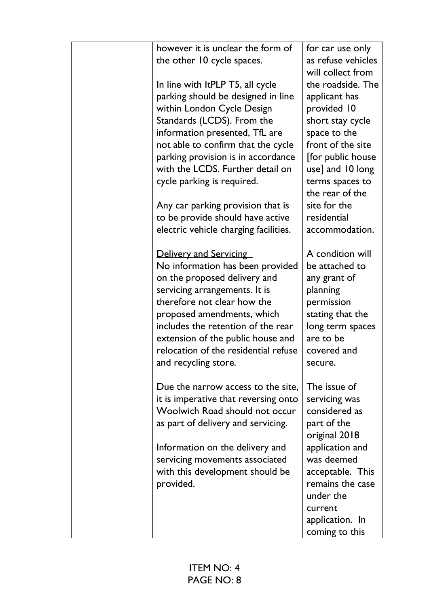| however it is unclear the form of<br>the other 10 cycle spaces. | for car use only<br>as refuse vehicles |
|-----------------------------------------------------------------|----------------------------------------|
|                                                                 | will collect from                      |
| In line with ItPLP T5, all cycle                                | the roadside. The                      |
| parking should be designed in line                              | applicant has                          |
| within London Cycle Design                                      | provided 10                            |
| Standards (LCDS). From the                                      | short stay cycle                       |
| information presented, TfL are                                  | space to the                           |
| not able to confirm that the cycle                              | front of the site                      |
| parking provision is in accordance                              | [for public house                      |
| with the LCDS. Further detail on                                | use] and 10 long                       |
| cycle parking is required.                                      | terms spaces to                        |
|                                                                 | the rear of the                        |
| Any car parking provision that is                               | site for the                           |
| to be provide should have active                                | residential                            |
| electric vehicle charging facilities.                           | accommodation.                         |
| <b>Delivery and Servicing</b>                                   | A condition will                       |
| No information has been provided                                | be attached to                         |
| on the proposed delivery and                                    | any grant of                           |
| servicing arrangements. It is                                   | planning                               |
| therefore not clear how the                                     | permission                             |
| proposed amendments, which                                      | stating that the                       |
| includes the retention of the rear                              | long term spaces                       |
| extension of the public house and                               | are to be                              |
| relocation of the residential refuse                            | covered and                            |
| and recycling store.                                            | secure.                                |
| Due the narrow access to the site,                              | The issue of                           |
| it is imperative that reversing onto                            | servicing was                          |
| Woolwich Road should not occur                                  | considered as                          |
| as part of delivery and servicing.                              | part of the                            |
|                                                                 | original 2018                          |
| Information on the delivery and                                 | application and                        |
| servicing movements associated                                  | was deemed                             |
| with this development should be                                 | acceptable. This                       |
| provided.                                                       | remains the case                       |
|                                                                 | under the                              |
|                                                                 | current                                |
|                                                                 | application. In                        |
|                                                                 | coming to this                         |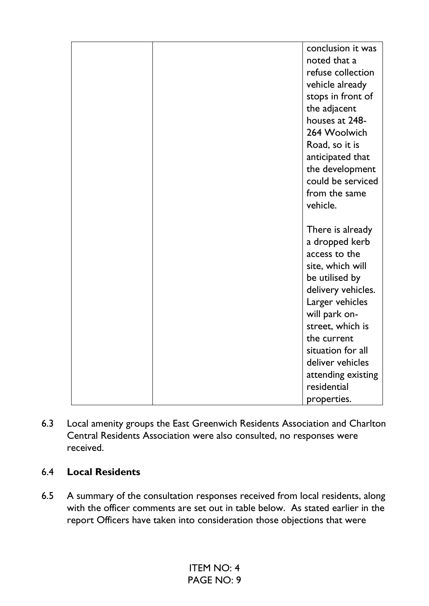|  | conclusion it was<br>noted that a<br>refuse collection<br>vehicle already<br>stops in front of<br>the adjacent<br>houses at 248-<br>264 Woolwich<br>Road, so it is<br>anticipated that<br>the development<br>could be serviced<br>from the same<br>vehicle. |
|--|-------------------------------------------------------------------------------------------------------------------------------------------------------------------------------------------------------------------------------------------------------------|
|  | There is already<br>a dropped kerb                                                                                                                                                                                                                          |
|  | access to the                                                                                                                                                                                                                                               |
|  | site, which will                                                                                                                                                                                                                                            |
|  | be utilised by                                                                                                                                                                                                                                              |
|  | delivery vehicles.<br>Larger vehicles                                                                                                                                                                                                                       |
|  | will park on-                                                                                                                                                                                                                                               |
|  | street, which is                                                                                                                                                                                                                                            |
|  | the current                                                                                                                                                                                                                                                 |
|  | situation for all                                                                                                                                                                                                                                           |
|  | deliver vehicles                                                                                                                                                                                                                                            |
|  | attending existing                                                                                                                                                                                                                                          |
|  | residential                                                                                                                                                                                                                                                 |
|  | properties.                                                                                                                                                                                                                                                 |

6.3 Local amenity groups the East Greenwich Residents Association and Charlton Central Residents Association were also consulted, no responses were received.

## 6.4 **Local Residents**

6.5 A summary of the consultation responses received from local residents, along with the officer comments are set out in table below. As stated earlier in the report Officers have taken into consideration those objections that were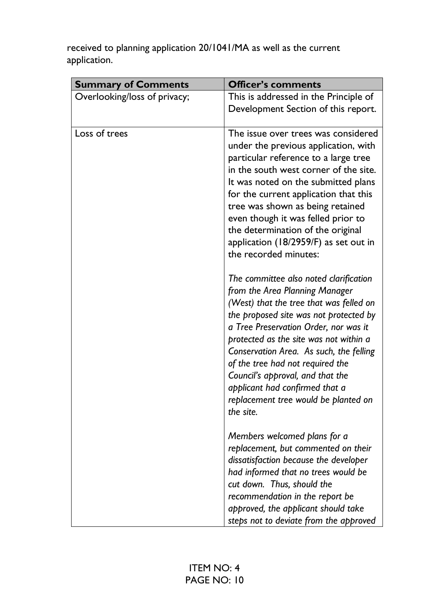received to planning application 20/1041/MA as well as the current application.

| <b>Summary of Comments</b>   | <b>Officer's comments</b>                                                                                                                                                                                                                                                                                                                                                                                                                                               |
|------------------------------|-------------------------------------------------------------------------------------------------------------------------------------------------------------------------------------------------------------------------------------------------------------------------------------------------------------------------------------------------------------------------------------------------------------------------------------------------------------------------|
| Overlooking/loss of privacy; | This is addressed in the Principle of<br>Development Section of this report.                                                                                                                                                                                                                                                                                                                                                                                            |
| Loss of trees                | The issue over trees was considered<br>under the previous application, with<br>particular reference to a large tree<br>in the south west corner of the site.<br>It was noted on the submitted plans<br>for the current application that this<br>tree was shown as being retained<br>even though it was felled prior to<br>the determination of the original<br>application (18/2959/F) as set out in<br>the recorded minutes:<br>The committee also noted clarification |
|                              | from the Area Planning Manager<br>(West) that the tree that was felled on<br>the proposed site was not protected by<br>a Tree Preservation Order, nor was it<br>protected as the site was not within a<br>Conservation Area. As such, the felling<br>of the tree had not required the<br>Council's approval, and that the<br>applicant had confirmed that a<br>replacement tree would be planted on<br>the site.                                                        |
|                              | Members welcomed plans for a<br>replacement, but commented on their<br>dissatisfaction because the developer<br>had informed that no trees would be<br>cut down. Thus, should the<br>recommendation in the report be<br>approved, the applicant should take<br>steps not to deviate from the approved                                                                                                                                                                   |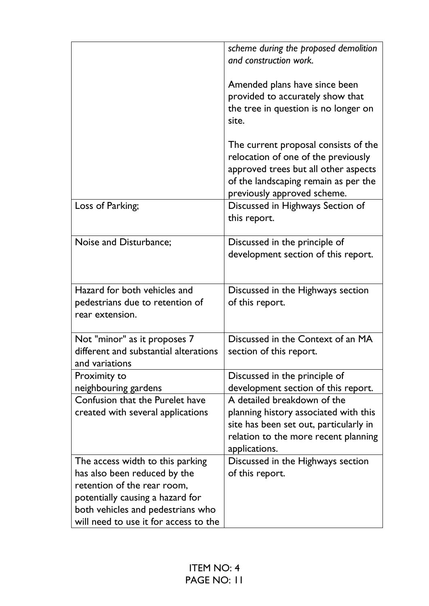|                                                                                                                                                                                                                   | scheme during the proposed demolition<br>and construction work.<br>Amended plans have since been<br>provided to accurately show that<br>the tree in question is no longer on<br>site.<br>The current proposal consists of the<br>relocation of one of the previously<br>approved trees but all other aspects<br>of the landscaping remain as per the<br>previously approved scheme. |
|-------------------------------------------------------------------------------------------------------------------------------------------------------------------------------------------------------------------|-------------------------------------------------------------------------------------------------------------------------------------------------------------------------------------------------------------------------------------------------------------------------------------------------------------------------------------------------------------------------------------|
| Loss of Parking;                                                                                                                                                                                                  | Discussed in Highways Section of<br>this report.                                                                                                                                                                                                                                                                                                                                    |
| Noise and Disturbance;                                                                                                                                                                                            | Discussed in the principle of<br>development section of this report.                                                                                                                                                                                                                                                                                                                |
| Hazard for both vehicles and<br>pedestrians due to retention of<br>rear extension.                                                                                                                                | Discussed in the Highways section<br>of this report.                                                                                                                                                                                                                                                                                                                                |
| Not "minor" as it proposes 7<br>different and substantial alterations<br>and variations                                                                                                                           | Discussed in the Context of an MA<br>section of this report.                                                                                                                                                                                                                                                                                                                        |
| Proximity to<br>neighbouring gardens                                                                                                                                                                              | Discussed in the principle of<br>development section of this report.                                                                                                                                                                                                                                                                                                                |
| Confusion that the Purelet have<br>created with several applications                                                                                                                                              | A detailed breakdown of the<br>planning history associated with this<br>site has been set out, particularly in<br>relation to the more recent planning<br>applications.                                                                                                                                                                                                             |
| The access width to this parking<br>has also been reduced by the<br>retention of the rear room,<br>potentially causing a hazard for<br>both vehicles and pedestrians who<br>will need to use it for access to the | Discussed in the Highways section<br>of this report.                                                                                                                                                                                                                                                                                                                                |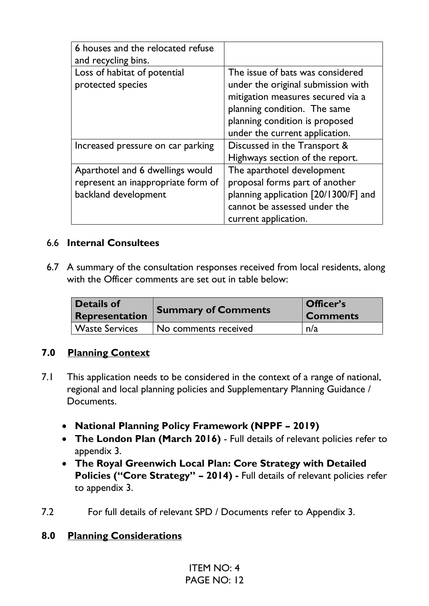| 6 houses and the relocated refuse<br>and recycling bins.                                       |                                                                                                                                                                                                                 |
|------------------------------------------------------------------------------------------------|-----------------------------------------------------------------------------------------------------------------------------------------------------------------------------------------------------------------|
| Loss of habitat of potential<br>protected species                                              | The issue of bats was considered<br>under the original submission with<br>mitigation measures secured via a<br>planning condition. The same<br>planning condition is proposed<br>under the current application. |
| Increased pressure on car parking                                                              | Discussed in the Transport &<br>Highways section of the report.                                                                                                                                                 |
| Aparthotel and 6 dwellings would<br>represent an inappropriate form of<br>backland development | The aparthotel development<br>proposal forms part of another<br>planning application [20/1300/F] and<br>cannot be assessed under the<br>current application.                                                    |

#### 6.6 **Internal Consultees**

6.7 A summary of the consultation responses received from local residents, along with the Officer comments are set out in table below:

| <b>Details of</b>     | <b>Summary of Comments</b> | Officer's       |
|-----------------------|----------------------------|-----------------|
| Representation        |                            | <b>Comments</b> |
| <b>Waste Services</b> | No comments received       | n/a             |

#### **7.0 Planning Context**

- 7.1 This application needs to be considered in the context of a range of national, regional and local planning policies and Supplementary Planning Guidance / Documents.
	- **National Planning Policy Framework (NPPF – 2019)**
	- **The London Plan (March 2016)** Full details of relevant policies refer to appendix 3.
	- **The Royal Greenwich Local Plan: Core Strategy with Detailed Policies ("Core Strategy" – 2014) -** Full details of relevant policies refer to appendix 3.
- 7.2 For full details of relevant SPD / Documents refer to Appendix 3.

#### **8.0 Planning Considerations**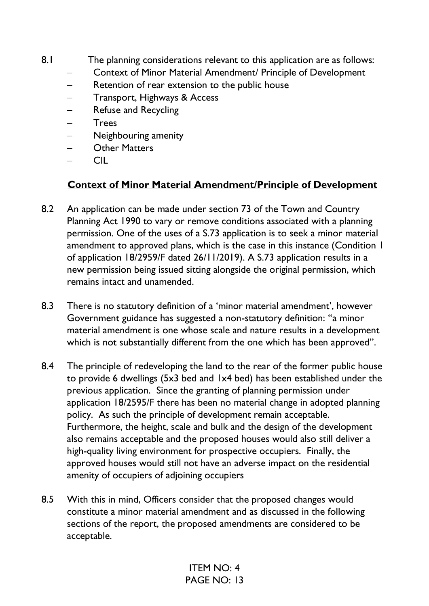- 8.1 The planning considerations relevant to this application are as follows:
	- − Context of Minor Material Amendment/ Principle of Development
	- Retention of rear extension to the public house
	- − Transport, Highways & Access
	- Refuse and Recycling
	- − Trees
	- − Neighbouring amenity
	- − Other Matters
	- − CIL

# **Context of Minor Material Amendment/Principle of Development**

- 8.2 An application can be made under section 73 of the Town and Country Planning Act 1990 to vary or remove conditions associated with a planning permission. One of the uses of a S.73 application is to seek a minor material amendment to approved plans, which is the case in this instance (Condition 1 of application 18/2959/F dated 26/11/2019). A S.73 application results in a new permission being issued sitting alongside the original permission, which remains intact and unamended.
- 8.3 There is no statutory definition of a 'minor material amendment', however Government guidance has suggested a non-statutory definition: ''a minor material amendment is one whose scale and nature results in a development which is not substantially different from the one which has been approved''.
- 8.4 The principle of redeveloping the land to the rear of the former public house to provide 6 dwellings (5x3 bed and 1x4 bed) has been established under the previous application. Since the granting of planning permission under application 18/2595/F there has been no material change in adopted planning policy. As such the principle of development remain acceptable. Furthermore, the height, scale and bulk and the design of the development also remains acceptable and the proposed houses would also still deliver a high-quality living environment for prospective occupiers. Finally, the approved houses would still not have an adverse impact on the residential amenity of occupiers of adjoining occupiers
- 8.5 With this in mind, Officers consider that the proposed changes would constitute a minor material amendment and as discussed in the following sections of the report, the proposed amendments are considered to be acceptable.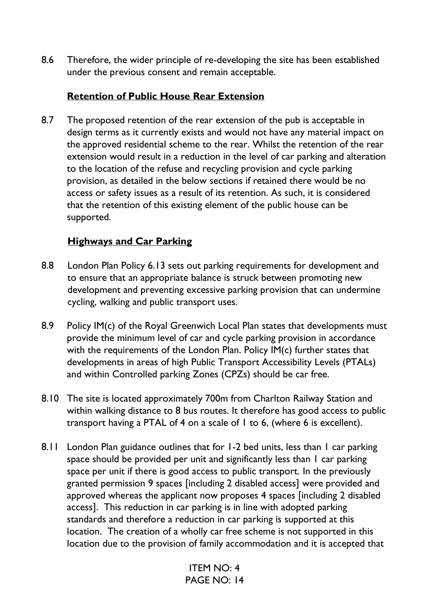8.6 Therefore, the wider principle of re-developing the site has been established under the previous consent and remain acceptable.

## **Retention of Public House Rear Extension**

8.7 The proposed retention of the rear extension of the pub is acceptable in design terms as it currently exists and would not have any material impact on the approved residential scheme to the rear. Whilst the retention of the rear extension would result in a reduction in the level of car parking and alteration to the location of the refuse and recycling provision and cycle parking provision, as detailed in the below sections if retained there would be no access or safety issues as a result of its retention. As such, it is considered that the retention of this existing element of the public house can be supported.

## **Highways and Car Parking**

- 8.8 London Plan Policy 6.13 sets out parking requirements for development and to ensure that an appropriate balance is struck between promoting new development and preventing excessive parking provision that can undermine cycling, walking and public transport uses.
- 8.9 Policy IM(c) of the Royal Greenwich Local Plan states that developments must provide the minimum level of car and cycle parking provision in accordance with the requirements of the London Plan. Policy IM(c) further states that developments in areas of high Public Transport Accessibility Levels (PTALs) and within Controlled parking Zones (CPZs) should be car free.
- 8.10 The site is located approximately 700m from Charlton Railway Station and within walking distance to 8 bus routes. It therefore has good access to public transport having a PTAL of 4 on a scale of 1 to 6, (where 6 is excellent).
- 8.11 London Plan guidance outlines that for 1-2 bed units, less than 1 car parking space should be provided per unit and significantly less than I car parking space per unit if there is good access to public transport. In the previously granted permission 9 spaces [including 2 disabled access] were provided and approved whereas the applicant now proposes 4 spaces [including 2 disabled access]. This reduction in car parking is in line with adopted parking standards and therefore a reduction in car parking is supported at this location. The creation of a wholly car free scheme is not supported in this location due to the provision of family accommodation and it is accepted that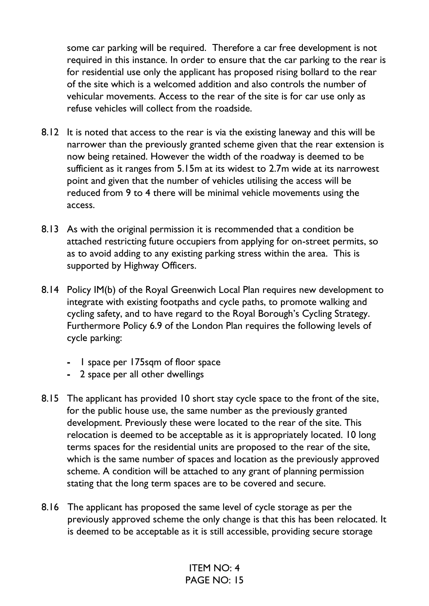some car parking will be required. Therefore a car free development is not required in this instance. In order to ensure that the car parking to the rear is for residential use only the applicant has proposed rising bollard to the rear of the site which is a welcomed addition and also controls the number of vehicular movements. Access to the rear of the site is for car use only as refuse vehicles will collect from the roadside.

- 8.12 It is noted that access to the rear is via the existing laneway and this will be narrower than the previously granted scheme given that the rear extension is now being retained. However the width of the roadway is deemed to be sufficient as it ranges from 5.15m at its widest to 2.7m wide at its narrowest point and given that the number of vehicles utilising the access will be reduced from 9 to 4 there will be minimal vehicle movements using the access.
- 8.13 As with the original permission it is recommended that a condition be attached restricting future occupiers from applying for on-street permits, so as to avoid adding to any existing parking stress within the area. This is supported by Highway Officers.
- 8.14 Policy IM(b) of the Royal Greenwich Local Plan requires new development to integrate with existing footpaths and cycle paths, to promote walking and cycling safety, and to have regard to the Royal Borough's Cycling Strategy. Furthermore Policy 6.9 of the London Plan requires the following levels of cycle parking:
	- **-** 1 space per 175sqm of floor space
	- **-** 2 space per all other dwellings
- 8.15 The applicant has provided 10 short stay cycle space to the front of the site, for the public house use, the same number as the previously granted development. Previously these were located to the rear of the site. This relocation is deemed to be acceptable as it is appropriately located. 10 long terms spaces for the residential units are proposed to the rear of the site, which is the same number of spaces and location as the previously approved scheme. A condition will be attached to any grant of planning permission stating that the long term spaces are to be covered and secure.
- 8.16 The applicant has proposed the same level of cycle storage as per the previously approved scheme the only change is that this has been relocated. It is deemed to be acceptable as it is still accessible, providing secure storage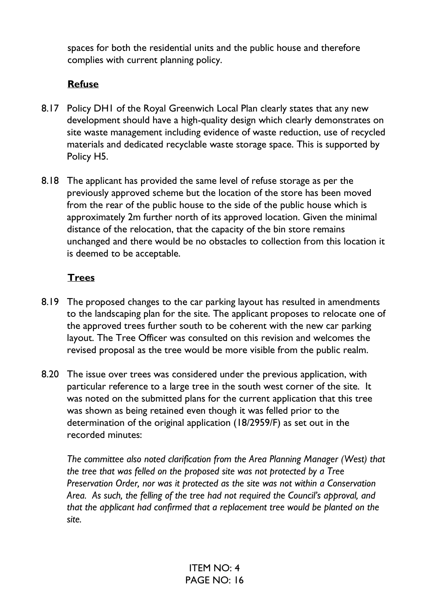spaces for both the residential units and the public house and therefore complies with current planning policy.

### **Refuse**

- 8.17 Policy DH1 of the Royal Greenwich Local Plan clearly states that any new development should have a high-quality design which clearly demonstrates on site waste management including evidence of waste reduction, use of recycled materials and dedicated recyclable waste storage space. This is supported by Policy H5.
- 8.18 The applicant has provided the same level of refuse storage as per the previously approved scheme but the location of the store has been moved from the rear of the public house to the side of the public house which is approximately 2m further north of its approved location. Given the minimal distance of the relocation, that the capacity of the bin store remains unchanged and there would be no obstacles to collection from this location it is deemed to be acceptable.

### **Trees**

- 8.19 The proposed changes to the car parking layout has resulted in amendments to the landscaping plan for the site. The applicant proposes to relocate one of the approved trees further south to be coherent with the new car parking layout. The Tree Officer was consulted on this revision and welcomes the revised proposal as the tree would be more visible from the public realm.
- 8.20 The issue over trees was considered under the previous application, with particular reference to a large tree in the south west corner of the site. It was noted on the submitted plans for the current application that this tree was shown as being retained even though it was felled prior to the determination of the original application (18/2959/F) as set out in the recorded minutes:

*The committee also noted clarification from the Area Planning Manager (West) that the tree that was felled on the proposed site was not protected by a Tree Preservation Order, nor was it protected as the site was not within a Conservation Area. As such, the felling of the tree had not required the Council's approval, and that the applicant had confirmed that a replacement tree would be planted on the site.*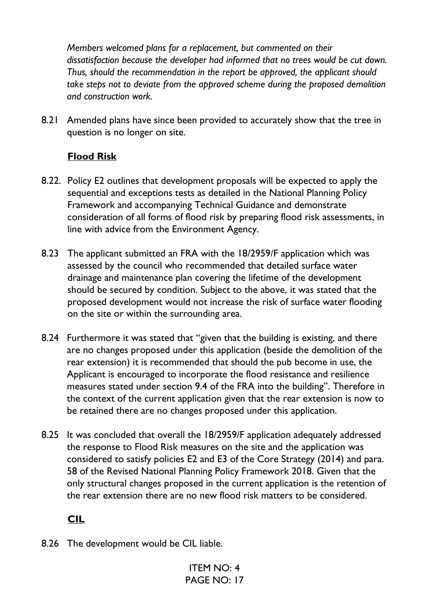*Members welcomed plans for a replacement, but commented on their dissatisfaction because the developer had informed that no trees would be cut down. Thus, should the recommendation in the report be approved, the applicant should take steps not to deviate from the approved scheme during the proposed demolition and construction work.*

8.21 Amended plans have since been provided to accurately show that the tree in question is no longer on site.

## **Flood Risk**

- 8.22. Policy E2 outlines that development proposals will be expected to apply the sequential and exceptions tests as detailed in the National Planning Policy Framework and accompanying Technical Guidance and demonstrate consideration of all forms of flood risk by preparing flood risk assessments, in line with advice from the Environment Agency.
- 8.23 The applicant submitted an FRA with the 18/2959/F application which was assessed by the council who recommended that detailed surface water drainage and maintenance plan covering the lifetime of the development should be secured by condition. Subject to the above, it was stated that the proposed development would not increase the risk of surface water flooding on the site or within the surrounding area.
- 8.24 Furthermore it was stated that "given that the building is existing, and there are no changes proposed under this application (beside the demolition of the rear extension) it is recommended that should the pub become in use, the Applicant is encouraged to incorporate the flood resistance and resilience measures stated under section 9.4 of the FRA into the building". Therefore in the context of the current application given that the rear extension is now to be retained there are no changes proposed under this application.
- 8.25 It was concluded that overall the 18/2959/F application adequately addressed the response to Flood Risk measures on the site and the application was considered to satisfy policies E2 and E3 of the Core Strategy (2014) and para. 58 of the Revised National Planning Policy Framework 2018. Given that the only structural changes proposed in the current application is the retention of the rear extension there are no new flood risk matters to be considered.

# **CIL**

8.26 The development would be CIL liable.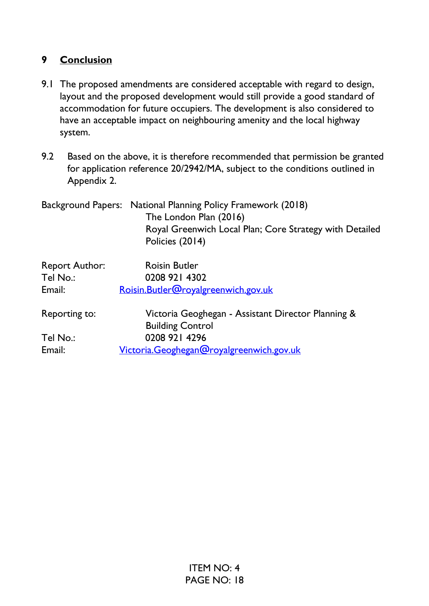## **9 Conclusion**

- 9.1 The proposed amendments are considered acceptable with regard to design, layout and the proposed development would still provide a good standard of accommodation for future occupiers. The development is also considered to have an acceptable impact on neighbouring amenity and the local highway system.
- 9.2 Based on the above, it is therefore recommended that permission be granted for application reference 20/2942/MA, subject to the conditions outlined in Appendix 2.
- Background Papers: National Planning Policy Framework (2018) The London Plan (2016) Royal Greenwich Local Plan; Core Strategy with Detailed Policies (2014) Report Author: Roisin Butler Tel No.: 0208 921 4302 Email: Roisin.Butler@royalgreenwich.gov.uk Reporting to: Victoria Geoghegan - Assistant Director Planning &

| Reporting to. | VICtoria Geogriegari - Assistant Director Fiaminig o |
|---------------|------------------------------------------------------|
|               | <b>Building Control</b>                              |
| Tel No.:      | 0208 921 4296                                        |
| Email:        | Victoria.Geoghegan@royalgreenwich.gov.uk             |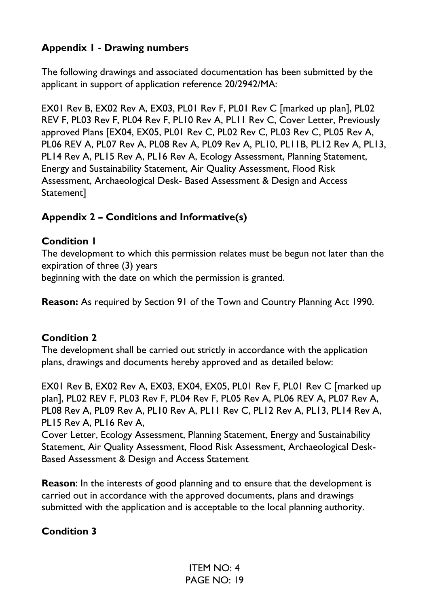# **Appendix 1 - Drawing numbers**

The following drawings and associated documentation has been submitted by the applicant in support of application reference 20/2942/MA:

EX01 Rev B, EX02 Rev A, EX03, PL01 Rev F, PL01 Rev C [marked up plan], PL02 REV F, PL03 Rev F, PL04 Rev F, PL10 Rev A, PL11 Rev C, Cover Letter, Previously approved Plans [EX04, EX05, PL01 Rev C, PL02 Rev C, PL03 Rev C, PL05 Rev A, PL06 REV A, PL07 Rev A, PL08 Rev A, PL09 Rev A, PL10, PL11B, PL12 Rev A, PL13, PL14 Rev A, PL15 Rev A, PL16 Rev A, Ecology Assessment, Planning Statement, Energy and Sustainability Statement, Air Quality Assessment, Flood Risk Assessment, Archaeological Desk- Based Assessment & Design and Access Statement]

### **Appendix 2 – Conditions and Informative(s)**

### **Condition 1**

The development to which this permission relates must be begun not later than the expiration of three (3) years beginning with the date on which the permission is granted.

**Reason:** As required by Section 91 of the Town and Country Planning Act 1990.

### **Condition 2**

The development shall be carried out strictly in accordance with the application plans, drawings and documents hereby approved and as detailed below:

EX01 Rev B, EX02 Rev A, EX03, EX04, EX05, PL01 Rev F, PL01 Rev C [marked up plan], PL02 REV F, PL03 Rev F, PL04 Rev F, PL05 Rev A, PL06 REV A, PL07 Rev A, PL08 Rev A, PL09 Rev A, PL10 Rev A, PL11 Rev C, PL12 Rev A, PL13, PL14 Rev A, PL15 Rev A, PL16 Rev A,

Cover Letter, Ecology Assessment, Planning Statement, Energy and Sustainability Statement, Air Quality Assessment, Flood Risk Assessment, Archaeological Desk-Based Assessment & Design and Access Statement

**Reason**: In the interests of good planning and to ensure that the development is carried out in accordance with the approved documents, plans and drawings submitted with the application and is acceptable to the local planning authority.

### **Condition 3**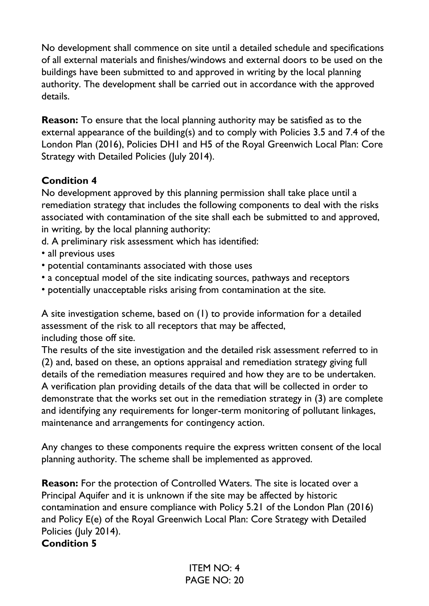No development shall commence on site until a detailed schedule and specifications of all external materials and finishes/windows and external doors to be used on the buildings have been submitted to and approved in writing by the local planning authority. The development shall be carried out in accordance with the approved details.

**Reason:** To ensure that the local planning authority may be satisfied as to the external appearance of the building(s) and to comply with Policies 3.5 and 7.4 of the London Plan (2016), Policies DH1 and H5 of the Royal Greenwich Local Plan: Core Strategy with Detailed Policies (July 2014).

### **Condition 4**

No development approved by this planning permission shall take place until a remediation strategy that includes the following components to deal with the risks associated with contamination of the site shall each be submitted to and approved, in writing, by the local planning authority:

- d. A preliminary risk assessment which has identified:
- all previous uses
- potential contaminants associated with those uses
- a conceptual model of the site indicating sources, pathways and receptors
- potentially unacceptable risks arising from contamination at the site.

A site investigation scheme, based on (1) to provide information for a detailed assessment of the risk to all receptors that may be affected, including those off site.

The results of the site investigation and the detailed risk assessment referred to in (2) and, based on these, an options appraisal and remediation strategy giving full details of the remediation measures required and how they are to be undertaken. A verification plan providing details of the data that will be collected in order to demonstrate that the works set out in the remediation strategy in (3) are complete and identifying any requirements for longer-term monitoring of pollutant linkages, maintenance and arrangements for contingency action.

Any changes to these components require the express written consent of the local planning authority. The scheme shall be implemented as approved.

**Reason:** For the protection of Controlled Waters. The site is located over a Principal Aquifer and it is unknown if the site may be affected by historic contamination and ensure compliance with Policy 5.21 of the London Plan (2016) and Policy E(e) of the Royal Greenwich Local Plan: Core Strategy with Detailed Policies (July 2014).

#### **Condition 5**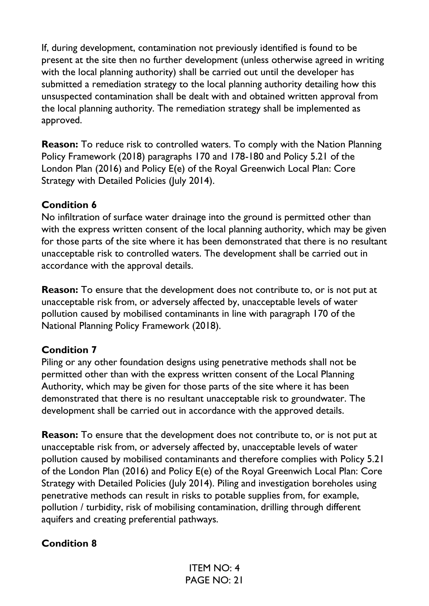If, during development, contamination not previously identified is found to be present at the site then no further development (unless otherwise agreed in writing with the local planning authority) shall be carried out until the developer has submitted a remediation strategy to the local planning authority detailing how this unsuspected contamination shall be dealt with and obtained written approval from the local planning authority. The remediation strategy shall be implemented as approved.

**Reason:** To reduce risk to controlled waters. To comply with the Nation Planning Policy Framework (2018) paragraphs 170 and 178-180 and Policy 5.21 of the London Plan (2016) and Policy E(e) of the Royal Greenwich Local Plan: Core Strategy with Detailed Policies (July 2014).

### **Condition 6**

No infiltration of surface water drainage into the ground is permitted other than with the express written consent of the local planning authority, which may be given for those parts of the site where it has been demonstrated that there is no resultant unacceptable risk to controlled waters. The development shall be carried out in accordance with the approval details.

**Reason:** To ensure that the development does not contribute to, or is not put at unacceptable risk from, or adversely affected by, unacceptable levels of water pollution caused by mobilised contaminants in line with paragraph 170 of the National Planning Policy Framework (2018).

## **Condition 7**

Piling or any other foundation designs using penetrative methods shall not be permitted other than with the express written consent of the Local Planning Authority, which may be given for those parts of the site where it has been demonstrated that there is no resultant unacceptable risk to groundwater. The development shall be carried out in accordance with the approved details.

**Reason:** To ensure that the development does not contribute to, or is not put at unacceptable risk from, or adversely affected by, unacceptable levels of water pollution caused by mobilised contaminants and therefore complies with Policy 5.21 of the London Plan (2016) and Policy E(e) of the Royal Greenwich Local Plan: Core Strategy with Detailed Policies (July 2014). Piling and investigation boreholes using penetrative methods can result in risks to potable supplies from, for example, pollution / turbidity, risk of mobilising contamination, drilling through different aquifers and creating preferential pathways.

## **Condition 8**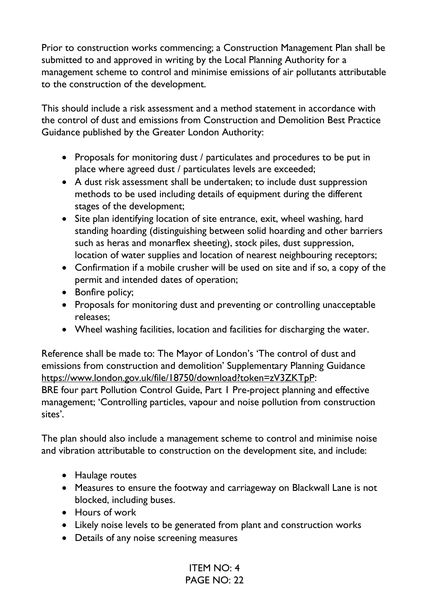Prior to construction works commencing; a Construction Management Plan shall be submitted to and approved in writing by the Local Planning Authority for a management scheme to control and minimise emissions of air pollutants attributable to the construction of the development.

This should include a risk assessment and a method statement in accordance with the control of dust and emissions from Construction and Demolition Best Practice Guidance published by the Greater London Authority:

- Proposals for monitoring dust / particulates and procedures to be put in place where agreed dust / particulates levels are exceeded;
- A dust risk assessment shall be undertaken; to include dust suppression methods to be used including details of equipment during the different stages of the development;
- Site plan identifying location of site entrance, exit, wheel washing, hard standing hoarding (distinguishing between solid hoarding and other barriers such as heras and monarflex sheeting), stock piles, dust suppression, location of water supplies and location of nearest neighbouring receptors;
- Confirmation if a mobile crusher will be used on site and if so, a copy of the permit and intended dates of operation;
- Bonfire policy;
- Proposals for monitoring dust and preventing or controlling unacceptable releases;
- Wheel washing facilities, location and facilities for discharging the water.

Reference shall be made to: The Mayor of London's 'The control of dust and emissions from construction and demolition' Supplementary Planning Guidance https://www.london.gov.uk/file/18750/download?token=zV3ZKTpP: BRE four part Pollution Control Guide, Part 1 Pre-project planning and effective management; 'Controlling particles, vapour and noise pollution from construction sites'.

The plan should also include a management scheme to control and minimise noise and vibration attributable to construction on the development site, and include:

- Haulage routes
- Measures to ensure the footway and carriageway on Blackwall Lane is not blocked, including buses.
- Hours of work
- Likely noise levels to be generated from plant and construction works
- Details of any noise screening measures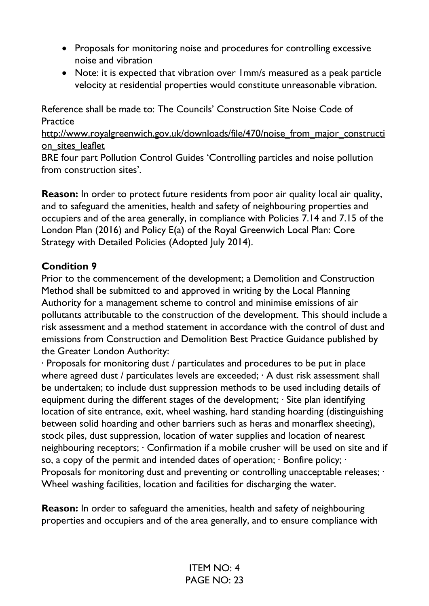- Proposals for monitoring noise and procedures for controlling excessive noise and vibration
- Note: it is expected that vibration over 1mm/s measured as a peak particle velocity at residential properties would constitute unreasonable vibration.

Reference shall be made to: The Councils' Construction Site Noise Code of Practice

http://www.royalgreenwich.gov.uk/downloads/file/470/noise\_from\_major\_constructi on sites leaflet

BRE four part Pollution Control Guides 'Controlling particles and noise pollution from construction sites'.

**Reason:** In order to protect future residents from poor air quality local air quality, and to safeguard the amenities, health and safety of neighbouring properties and occupiers and of the area generally, in compliance with Policies 7.14 and 7.15 of the London Plan (2016) and Policy E(a) of the Royal Greenwich Local Plan: Core Strategy with Detailed Policies (Adopted July 2014).

### **Condition 9**

Prior to the commencement of the development; a Demolition and Construction Method shall be submitted to and approved in writing by the Local Planning Authority for a management scheme to control and minimise emissions of air pollutants attributable to the construction of the development. This should include a risk assessment and a method statement in accordance with the control of dust and emissions from Construction and Demolition Best Practice Guidance published by the Greater London Authority:

· Proposals for monitoring dust / particulates and procedures to be put in place where agreed dust / particulates levels are exceeded; · A dust risk assessment shall be undertaken; to include dust suppression methods to be used including details of equipment during the different stages of the development; · Site plan identifying location of site entrance, exit, wheel washing, hard standing hoarding (distinguishing between solid hoarding and other barriers such as heras and monarflex sheeting), stock piles, dust suppression, location of water supplies and location of nearest neighbouring receptors; · Confirmation if a mobile crusher will be used on site and if so, a copy of the permit and intended dates of operation; · Bonfire policy; · Proposals for monitoring dust and preventing or controlling unacceptable releases; · Wheel washing facilities, location and facilities for discharging the water.

**Reason:** In order to safeguard the amenities, health and safety of neighbouring properties and occupiers and of the area generally, and to ensure compliance with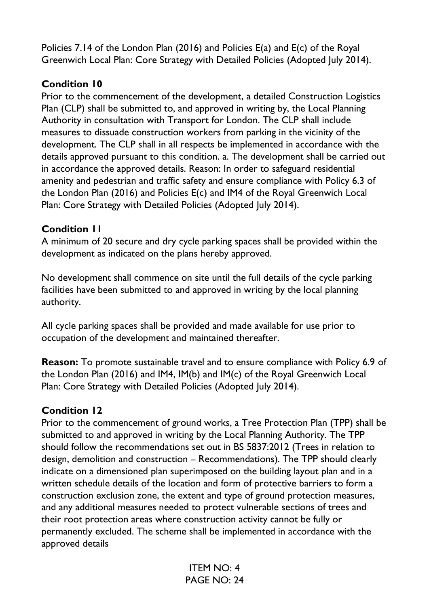Policies 7.14 of the London Plan (2016) and Policies E(a) and E(c) of the Royal Greenwich Local Plan: Core Strategy with Detailed Policies (Adopted July 2014).

### **Condition 10**

Prior to the commencement of the development, a detailed Construction Logistics Plan (CLP) shall be submitted to, and approved in writing by, the Local Planning Authority in consultation with Transport for London. The CLP shall include measures to dissuade construction workers from parking in the vicinity of the development. The CLP shall in all respects be implemented in accordance with the details approved pursuant to this condition. a. The development shall be carried out in accordance the approved details. Reason: In order to safeguard residential amenity and pedestrian and traffic safety and ensure compliance with Policy 6.3 of the London Plan (2016) and Policies E(c) and IM4 of the Royal Greenwich Local Plan: Core Strategy with Detailed Policies (Adopted July 2014).

### **Condition 11**

A minimum of 20 secure and dry cycle parking spaces shall be provided within the development as indicated on the plans hereby approved.

No development shall commence on site until the full details of the cycle parking facilities have been submitted to and approved in writing by the local planning authority.

All cycle parking spaces shall be provided and made available for use prior to occupation of the development and maintained thereafter.

**Reason:** To promote sustainable travel and to ensure compliance with Policy 6.9 of the London Plan (2016) and IM4, IM(b) and IM(c) of the Royal Greenwich Local Plan: Core Strategy with Detailed Policies (Adopted July 2014).

## **Condition 12**

Prior to the commencement of ground works, a Tree Protection Plan (TPP) shall be submitted to and approved in writing by the Local Planning Authority. The TPP should follow the recommendations set out in BS 5837:2012 (Trees in relation to design, demolition and construction – Recommendations). The TPP should clearly indicate on a dimensioned plan superimposed on the building layout plan and in a written schedule details of the location and form of protective barriers to form a construction exclusion zone, the extent and type of ground protection measures, and any additional measures needed to protect vulnerable sections of trees and their root protection areas where construction activity cannot be fully or permanently excluded. The scheme shall be implemented in accordance with the approved details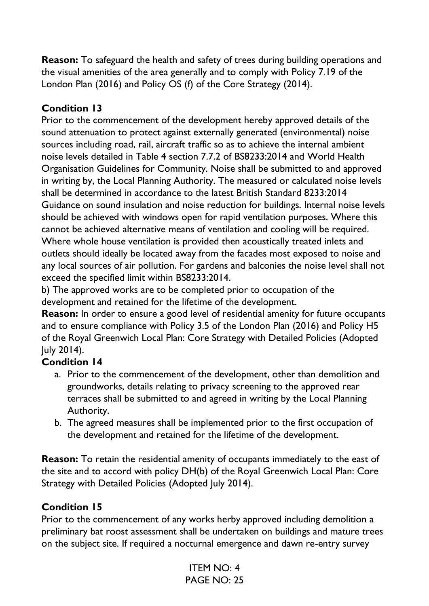**Reason:** To safeguard the health and safety of trees during building operations and the visual amenities of the area generally and to comply with Policy 7.19 of the London Plan (2016) and Policy OS (f) of the Core Strategy (2014).

### **Condition 13**

Prior to the commencement of the development hereby approved details of the sound attenuation to protect against externally generated (environmental) noise sources including road, rail, aircraft traffic so as to achieve the internal ambient noise levels detailed in Table 4 section 7.7.2 of BS8233:2014 and World Health Organisation Guidelines for Community. Noise shall be submitted to and approved in writing by, the Local Planning Authority. The measured or calculated noise levels shall be determined in accordance to the latest British Standard 8233:2014 Guidance on sound insulation and noise reduction for buildings. Internal noise levels should be achieved with windows open for rapid ventilation purposes. Where this cannot be achieved alternative means of ventilation and cooling will be required. Where whole house ventilation is provided then acoustically treated inlets and outlets should ideally be located away from the facades most exposed to noise and any local sources of air pollution. For gardens and balconies the noise level shall not exceed the specified limit within BS8233:2014.

b) The approved works are to be completed prior to occupation of the development and retained for the lifetime of the development.

**Reason:** In order to ensure a good level of residential amenity for future occupants and to ensure compliance with Policy 3.5 of the London Plan (2016) and Policy H5 of the Royal Greenwich Local Plan: Core Strategy with Detailed Policies (Adopted July 2014).

## **Condition 14**

- a. Prior to the commencement of the development, other than demolition and groundworks, details relating to privacy screening to the approved rear terraces shall be submitted to and agreed in writing by the Local Planning Authority.
- b. The agreed measures shall be implemented prior to the first occupation of the development and retained for the lifetime of the development.

**Reason:** To retain the residential amenity of occupants immediately to the east of the site and to accord with policy DH(b) of the Royal Greenwich Local Plan: Core Strategy with Detailed Policies (Adopted July 2014).

### **Condition 15**

Prior to the commencement of any works herby approved including demolition a preliminary bat roost assessment shall be undertaken on buildings and mature trees on the subject site. If required a nocturnal emergence and dawn re-entry survey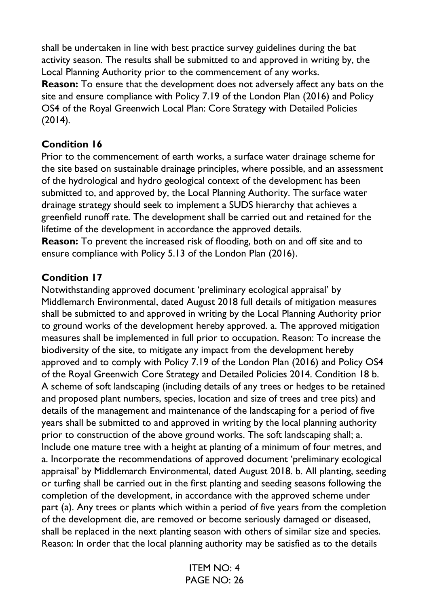shall be undertaken in line with best practice survey guidelines during the bat activity season. The results shall be submitted to and approved in writing by, the Local Planning Authority prior to the commencement of any works.

**Reason:** To ensure that the development does not adversely affect any bats on the site and ensure compliance with Policy 7.19 of the London Plan (2016) and Policy OS4 of the Royal Greenwich Local Plan: Core Strategy with Detailed Policies (2014).

### **Condition 16**

Prior to the commencement of earth works, a surface water drainage scheme for the site based on sustainable drainage principles, where possible, and an assessment of the hydrological and hydro geological context of the development has been submitted to, and approved by, the Local Planning Authority. The surface water drainage strategy should seek to implement a SUDS hierarchy that achieves a greenfield runoff rate. The development shall be carried out and retained for the lifetime of the development in accordance the approved details.

**Reason:** To prevent the increased risk of flooding, both on and off site and to ensure compliance with Policy 5.13 of the London Plan (2016).

## **Condition 17**

Notwithstanding approved document 'preliminary ecological appraisal' by Middlemarch Environmental, dated August 2018 full details of mitigation measures shall be submitted to and approved in writing by the Local Planning Authority prior to ground works of the development hereby approved. a. The approved mitigation measures shall be implemented in full prior to occupation. Reason: To increase the biodiversity of the site, to mitigate any impact from the development hereby approved and to comply with Policy 7.19 of the London Plan (2016) and Policy OS4 of the Royal Greenwich Core Strategy and Detailed Policies 2014. Condition 18 b. A scheme of soft landscaping (including details of any trees or hedges to be retained and proposed plant numbers, species, location and size of trees and tree pits) and details of the management and maintenance of the landscaping for a period of five years shall be submitted to and approved in writing by the local planning authority prior to construction of the above ground works. The soft landscaping shall; a. Include one mature tree with a height at planting of a minimum of four metres, and a. Incorporate the recommendations of approved document 'preliminary ecological appraisal' by Middlemarch Environmental, dated August 2018. b. All planting, seeding or turfing shall be carried out in the first planting and seeding seasons following the completion of the development, in accordance with the approved scheme under part (a). Any trees or plants which within a period of five years from the completion of the development die, are removed or become seriously damaged or diseased, shall be replaced in the next planting season with others of similar size and species. Reason: In order that the local planning authority may be satisfied as to the details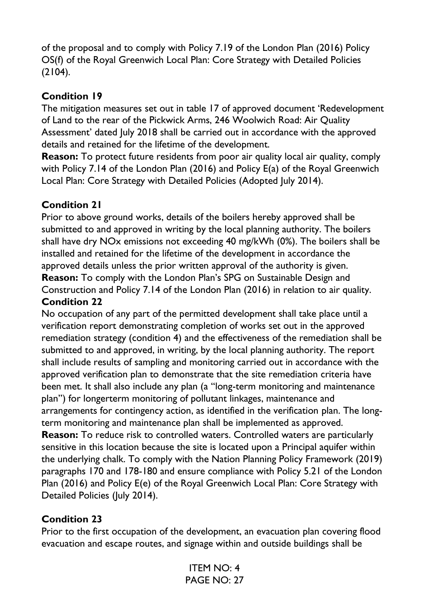of the proposal and to comply with Policy 7.19 of the London Plan (2016) Policy OS(f) of the Royal Greenwich Local Plan: Core Strategy with Detailed Policies (2104).

# **Condition 19**

The mitigation measures set out in table 17 of approved document 'Redevelopment of Land to the rear of the Pickwick Arms, 246 Woolwich Road: Air Quality Assessment' dated July 2018 shall be carried out in accordance with the approved details and retained for the lifetime of the development.

**Reason:** To protect future residents from poor air quality local air quality, comply with Policy 7.14 of the London Plan (2016) and Policy E(a) of the Royal Greenwich Local Plan: Core Strategy with Detailed Policies (Adopted July 2014).

# **Condition 21**

Prior to above ground works, details of the boilers hereby approved shall be submitted to and approved in writing by the local planning authority. The boilers shall have dry NOx emissions not exceeding 40 mg/kWh (0%). The boilers shall be installed and retained for the lifetime of the development in accordance the approved details unless the prior written approval of the authority is given. **Reason:** To comply with the London Plan's SPG on Sustainable Design and Construction and Policy 7.14 of the London Plan (2016) in relation to air quality. **Condition 22** 

No occupation of any part of the permitted development shall take place until a verification report demonstrating completion of works set out in the approved remediation strategy (condition 4) and the effectiveness of the remediation shall be submitted to and approved, in writing, by the local planning authority. The report shall include results of sampling and monitoring carried out in accordance with the approved verification plan to demonstrate that the site remediation criteria have been met. It shall also include any plan (a "long-term monitoring and maintenance plan") for longerterm monitoring of pollutant linkages, maintenance and arrangements for contingency action, as identified in the verification plan. The longterm monitoring and maintenance plan shall be implemented as approved.

**Reason:** To reduce risk to controlled waters. Controlled waters are particularly sensitive in this location because the site is located upon a Principal aquifer within the underlying chalk. To comply with the Nation Planning Policy Framework (2019) paragraphs 170 and 178-180 and ensure compliance with Policy 5.21 of the London Plan (2016) and Policy E(e) of the Royal Greenwich Local Plan: Core Strategy with Detailed Policies (July 2014).

## **Condition 23**

Prior to the first occupation of the development, an evacuation plan covering flood evacuation and escape routes, and signage within and outside buildings shall be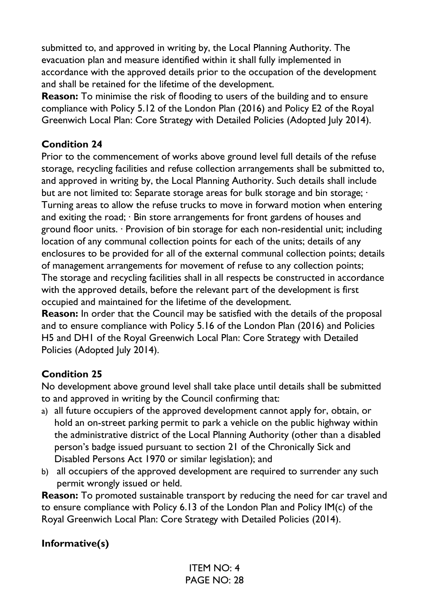submitted to, and approved in writing by, the Local Planning Authority. The evacuation plan and measure identified within it shall fully implemented in accordance with the approved details prior to the occupation of the development and shall be retained for the lifetime of the development.

**Reason:** To minimise the risk of flooding to users of the building and to ensure compliance with Policy 5.12 of the London Plan (2016) and Policy E2 of the Royal Greenwich Local Plan: Core Strategy with Detailed Policies (Adopted July 2014).

### **Condition 24**

Prior to the commencement of works above ground level full details of the refuse storage, recycling facilities and refuse collection arrangements shall be submitted to, and approved in writing by, the Local Planning Authority. Such details shall include but are not limited to: Separate storage areas for bulk storage and bin storage;  $\cdot$ Turning areas to allow the refuse trucks to move in forward motion when entering and exiting the road; · Bin store arrangements for front gardens of houses and ground floor units. · Provision of bin storage for each non-residential unit; including location of any communal collection points for each of the units; details of any enclosures to be provided for all of the external communal collection points; details of management arrangements for movement of refuse to any collection points; The storage and recycling facilities shall in all respects be constructed in accordance with the approved details, before the relevant part of the development is first occupied and maintained for the lifetime of the development.

**Reason:** In order that the Council may be satisfied with the details of the proposal and to ensure compliance with Policy 5.16 of the London Plan (2016) and Policies H5 and DH1 of the Royal Greenwich Local Plan: Core Strategy with Detailed Policies (Adopted July 2014).

### **Condition 25**

No development above ground level shall take place until details shall be submitted to and approved in writing by the Council confirming that:

- a) all future occupiers of the approved development cannot apply for, obtain, or hold an on-street parking permit to park a vehicle on the public highway within the administrative district of the Local Planning Authority (other than a disabled person's badge issued pursuant to section 21 of the Chronically Sick and Disabled Persons Act 1970 or similar legislation); and
- b) all occupiers of the approved development are required to surrender any such permit wrongly issued or held.

**Reason:** To promoted sustainable transport by reducing the need for car travel and to ensure compliance with Policy 6.13 of the London Plan and Policy IM(c) of the Royal Greenwich Local Plan: Core Strategy with Detailed Policies (2014).

## **Informative(s)**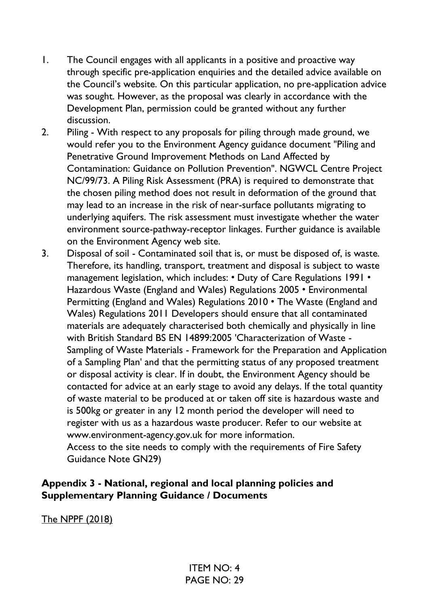- 1. The Council engages with all applicants in a positive and proactive way through specific pre-application enquiries and the detailed advice available on the Council's website. On this particular application, no pre-application advice was sought. However, as the proposal was clearly in accordance with the Development Plan, permission could be granted without any further discussion.
- 2. Piling With respect to any proposals for piling through made ground, we would refer you to the Environment Agency guidance document "Piling and Penetrative Ground Improvement Methods on Land Affected by Contamination: Guidance on Pollution Prevention". NGWCL Centre Project NC/99/73. A Piling Risk Assessment (PRA) is required to demonstrate that the chosen piling method does not result in deformation of the ground that may lead to an increase in the risk of near-surface pollutants migrating to underlying aquifers. The risk assessment must investigate whether the water environment source-pathway-receptor linkages. Further guidance is available on the Environment Agency web site.
- 3. Disposal of soil Contaminated soil that is, or must be disposed of, is waste. Therefore, its handling, transport, treatment and disposal is subject to waste management legislation, which includes: • Duty of Care Regulations 1991 • Hazardous Waste (England and Wales) Regulations 2005 • Environmental Permitting (England and Wales) Regulations 2010 • The Waste (England and Wales) Regulations 2011 Developers should ensure that all contaminated materials are adequately characterised both chemically and physically in line with British Standard BS EN 14899:2005 'Characterization of Waste - Sampling of Waste Materials - Framework for the Preparation and Application of a Sampling Plan' and that the permitting status of any proposed treatment or disposal activity is clear. If in doubt, the Environment Agency should be contacted for advice at an early stage to avoid any delays. If the total quantity of waste material to be produced at or taken off site is hazardous waste and is 500kg or greater in any 12 month period the developer will need to register with us as a hazardous waste producer. Refer to our website at www.environment-agency.gov.uk for more information. Access to the site needs to comply with the requirements of Fire Safety

Guidance Note GN29)

### **Appendix 3 - National, regional and local planning policies and Supplementary Planning Guidance / Documents**

The NPPF (2018)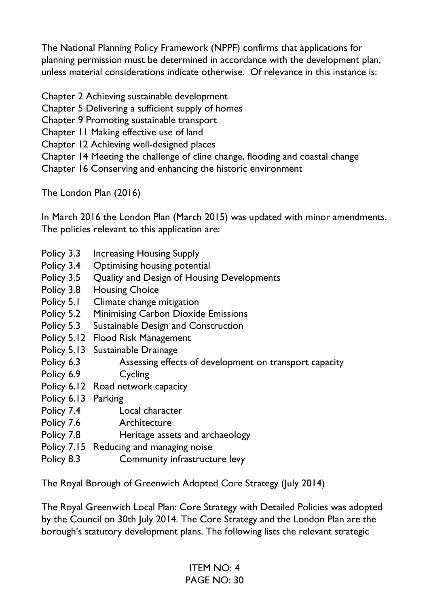The National Planning Policy Framework (NPPF) confirms that applications for planning permission must be determined in accordance with the development plan, unless material considerations indicate otherwise. Of relevance in this instance is:

- Chapter 2 Achieving sustainable development
- Chapter 5 Delivering a sufficient supply of homes
- Chapter 9 Promoting sustainable transport
- Chapter 11 Making effective use of land
- Chapter 12 Achieving well-designed places
- Chapter 14 Meeting the challenge of cline change, flooding and coastal change
- Chapter 16 Conserving and enhancing the historic environment

### The London Plan (2016)

In March 2016 the London Plan (March 2015) was updated with minor amendments. The policies relevant to this application are:

- Policy 3.3 Increasing Housing Supply
- Policy 3.4 Optimising housing potential
- Policy 3.5 Quality and Design of Housing Developments
- Policy 3.8 Housing Choice
- Policy 5.1 Climate change mitigation
- Policy 5.2 Minimising Carbon Dioxide Emissions
- Policy 5.3 Sustainable Design and Construction
- Policy 5.12 Flood Risk Management
- Policy 5.13 Sustainable Drainage
- Policy 6.3 **Assessing effects of development on transport capacity**
- Policy 6.9 Cycling
- Policy 6.12 Road network capacity
- Policy 6.13 Parking
- Policy 7.4 Local character
- Policy 7.6 **Architecture**
- Policy 7.8 **Heritage assets and archaeology**
- Policy 7.15 Reducing and managing noise
- Policy 8.3 Community infrastructure levy

## The Royal Borough of Greenwich Adopted Core Strategy (July 2014)

The Royal Greenwich Local Plan: Core Strategy with Detailed Policies was adopted by the Council on 30th July 2014. The Core Strategy and the London Plan are the borough's statutory development plans. The following lists the relevant strategic